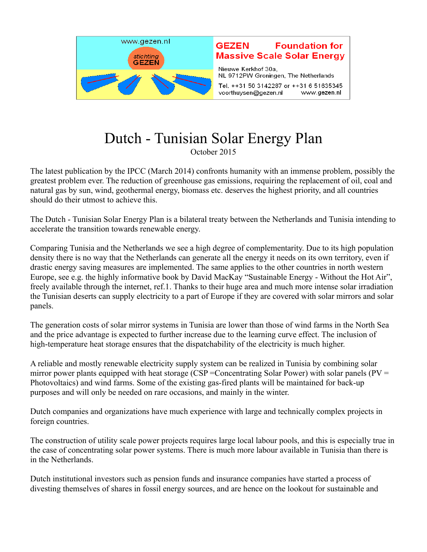

## Dutch - Tunisian Solar Energy Plan October 2015

The latest publication by the IPCC (March 2014) confronts humanity with an immense problem, possibly the greatest problem ever. The reduction of greenhouse gas emissions, requiring the replacement of oil, coal and natural gas by sun, wind, geothermal energy, biomass etc. deserves the highest priority, and all countries should do their utmost to achieve this.

The Dutch - Tunisian Solar Energy Plan is a bilateral treaty between the Netherlands and Tunisia intending to accelerate the transition towards renewable energy.

Comparing Tunisia and the Netherlands we see a high degree of complementarity. Due to its high population density there is no way that the Netherlands can generate all the energy it needs on its own territory, even if drastic energy saving measures are implemented. The same applies to the other countries in north western Europe, see e.g. the highly informative book by David MacKay "Sustainable Energy - Without the Hot Air", freely available through the internet, ref.1. Thanks to their huge area and much more intense solar irradiation the Tunisian deserts can supply electricity to a part of Europe if they are covered with solar mirrors and solar panels.

The generation costs of solar mirror systems in Tunisia are lower than those of wind farms in the North Sea and the price advantage is expected to further increase due to the learning curve effect. The inclusion of high-temperature heat storage ensures that the dispatchability of the electricity is much higher.

A reliable and mostly renewable electricity supply system can be realized in Tunisia by combining solar mirror power plants equipped with heat storage (CSP = Concentrating Solar Power) with solar panels ( $PV =$ Photovoltaics) and wind farms. Some of the existing gas-fired plants will be maintained for back-up purposes and will only be needed on rare occasions, and mainly in the winter.

Dutch companies and organizations have much experience with large and technically complex projects in foreign countries.

The construction of utility scale power projects requires large local labour pools, and this is especially true in the case of concentrating solar power systems. There is much more labour available in Tunisia than there is in the Netherlands.

Dutch institutional investors such as pension funds and insurance companies have started a process of divesting themselves of shares in fossil energy sources, and are hence on the lookout for sustainable and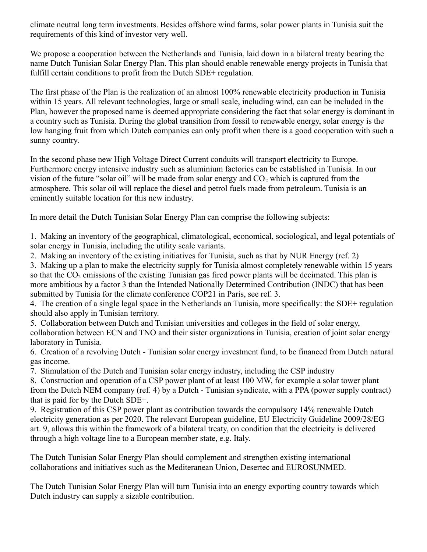climate neutral long term investments. Besides offshore wind farms, solar power plants in Tunisia suit the requirements of this kind of investor very well.

We propose a cooperation between the Netherlands and Tunisia, laid down in a bilateral treaty bearing the name Dutch Tunisian Solar Energy Plan. This plan should enable renewable energy projects in Tunisia that fulfill certain conditions to profit from the Dutch SDE+ regulation.

The first phase of the Plan is the realization of an almost 100% renewable electricity production in Tunisia within 15 years. All relevant technologies, large or small scale, including wind, can can be included in the Plan, however the proposed name is deemed appropriate considering the fact that solar energy is dominant in a country such as Tunisia. During the global transition from fossil to renewable energy, solar energy is the low hanging fruit from which Dutch companies can only profit when there is a good cooperation with such a sunny country.

In the second phase new High Voltage Direct Current conduits will transport electricity to Europe. Furthermore energy intensive industry such as aluminium factories can be established in Tunisia. In our vision of the future "solar oil" will be made from solar energy and  $CO<sub>2</sub>$  which is captured from the atmosphere. This solar oil will replace the diesel and petrol fuels made from petroleum. Tunisia is an eminently suitable location for this new industry.

In more detail the Dutch Tunisian Solar Energy Plan can comprise the following subjects:

1. Making an inventory of the geographical, climatological, economical, sociological, and legal potentials of solar energy in Tunisia, including the utility scale variants.

2. Making an inventory of the existing initiatives for Tunisia, such as that by NUR Energy (ref. 2)

3. Making up a plan to make the electricity supply for Tunisia almost completely renewable within 15 years so that the  $CO<sub>2</sub>$  emissions of the existing Tunisian gas fired power plants will be decimated. This plan is more ambitious by a factor 3 than the Intended Nationally Determined Contribution (INDC) that has been submitted by Tunisia for the climate conference COP21 in Paris, see ref. 3.

4. The creation of a single legal space in the Netherlands an Tunisia, more specifically: the SDE+ regulation should also apply in Tunisian territory.

5. Collaboration between Dutch and Tunisian universities and colleges in the field of solar energy, collaboration between ECN and TNO and their sister organizations in Tunisia, creation of joint solar energy laboratory in Tunisia.

6. Creation of a revolving Dutch - Tunisian solar energy investment fund, to be financed from Dutch natural gas income.

7. Stimulation of the Dutch and Tunisian solar energy industry, including the CSP industry

8. Construction and operation of a CSP power plant of at least 100 MW, for example a solar tower plant from the Dutch NEM company (ref. 4) by a Dutch - Tunisian syndicate, with a PPA (power supply contract) that is paid for by the Dutch SDE+.

9. Registration of this CSP power plant as contribution towards the compulsory 14% renewable Dutch electricity generation as per 2020. The relevant European guideline, EU Electricity Guideline 2009/28/EG art. 9, allows this within the framework of a bilateral treaty, on condition that the electricity is delivered through a high voltage line to a European member state, e.g. Italy.

The Dutch Tunisian Solar Energy Plan should complement and strengthen existing international collaborations and initiatives such as the Mediteranean Union, Desertec and EUROSUNMED.

The Dutch Tunisian Solar Energy Plan will turn Tunisia into an energy exporting country towards which Dutch industry can supply a sizable contribution.